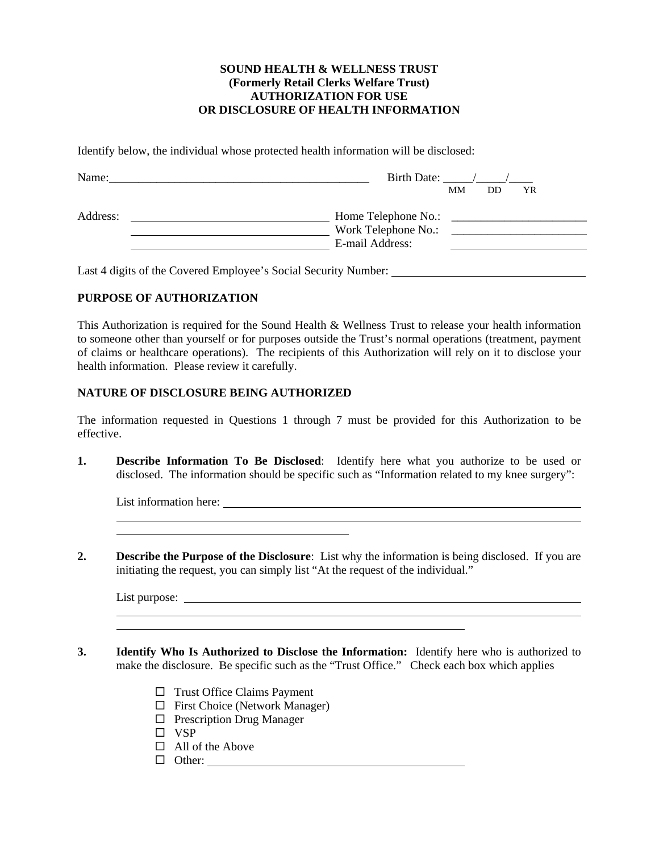### **SOUND HEALTH & WELLNESS TRUST (Formerly Retail Clerks Welfare Trust) AUTHORIZATION FOR USE OR DISCLOSURE OF HEALTH INFORMATION**

Identify below, the individual whose protected health information will be disclosed:

| Name:    | Birth Date:<br><b>MM</b><br>DD<br>YR                          |
|----------|---------------------------------------------------------------|
| Address: | Home Telephone No.:<br>Work Telephone No.:<br>E-mail Address: |

Last 4 digits of the Covered Employee's Social Security Number:

### **PURPOSE OF AUTHORIZATION**

This Authorization is required for the Sound Health & Wellness Trust to release your health information to someone other than yourself or for purposes outside the Trust's normal operations (treatment, payment of claims or healthcare operations). The recipients of this Authorization will rely on it to disclose your health information. Please review it carefully.

### **NATURE OF DISCLOSURE BEING AUTHORIZED**

The information requested in Questions 1 through 7 must be provided for this Authorization to be effective.

**1. Describe Information To Be Disclosed**: Identify here what you authorize to be used or disclosed. The information should be specific such as "Information related to my knee surgery":

List information here:

**2. Describe the Purpose of the Disclosure**: List why the information is being disclosed. If you are initiating the request, you can simply list "At the request of the individual."

List purpose:

l l

l l

- **3. Identify Who Is Authorized to Disclose the Information:** Identify here who is authorized to make the disclosure. Be specific such as the "Trust Office." Check each box which applies
	- $\Box$  Trust Office Claims Payment
	- $\Box$  First Choice (Network Manager)
	- $\Box$  Prescription Drug Manager
	- $\square$  VSP
	- $\Box$  All of the Above
	- Other: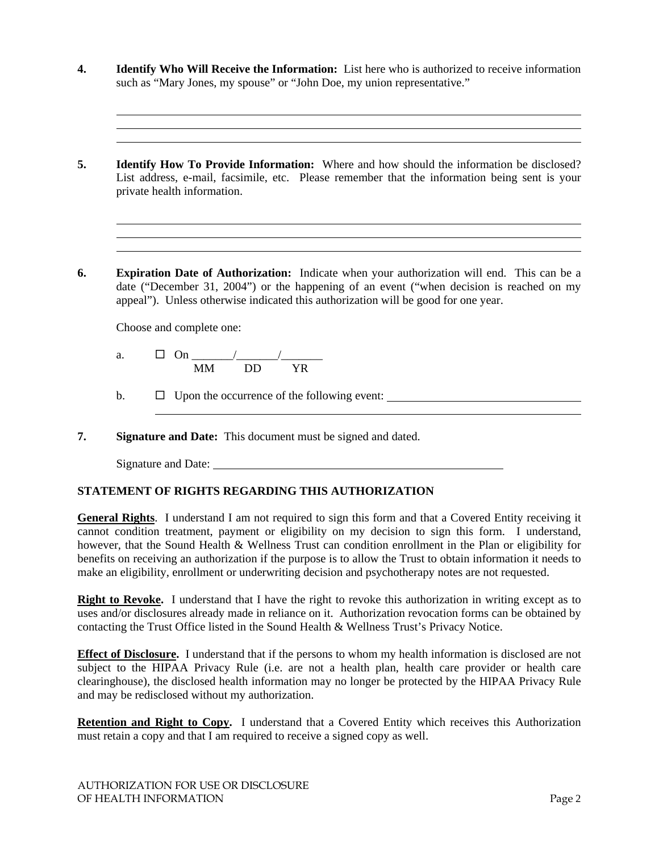- **4. Identify Who Will Receive the Information:** List here who is authorized to receive information such as "Mary Jones, my spouse" or "John Doe, my union representative."
- **5. Identify How To Provide Information:** Where and how should the information be disclosed? List address, e-mail, facsimile, etc. Please remember that the information being sent is your private health information.
- **6. Expiration Date of Authorization:** Indicate when your authorization will end. This can be a date ("December 31, 2004") or the happening of an event ("when decision is reached on my appeal"). Unless otherwise indicated this authorization will be good for one year.

Choose and complete one:

l l

l l

- a. On \_\_\_\_\_\_\_/\_\_\_\_\_\_\_/\_\_\_\_\_\_\_ MM DD YR
- b.  $\Box$  Upon the occurrence of the following event:
- **7. Signature and Date:** This document must be signed and dated.

| Signature and Date: |  |  |  |  |
|---------------------|--|--|--|--|
|---------------------|--|--|--|--|

l

# **STATEMENT OF RIGHTS REGARDING THIS AUTHORIZATION**

**General Rights**. I understand I am not required to sign this form and that a Covered Entity receiving it cannot condition treatment, payment or eligibility on my decision to sign this form. I understand, however, that the Sound Health & Wellness Trust can condition enrollment in the Plan or eligibility for benefits on receiving an authorization if the purpose is to allow the Trust to obtain information it needs to make an eligibility, enrollment or underwriting decision and psychotherapy notes are not requested.

**Right to Revoke.** I understand that I have the right to revoke this authorization in writing except as to uses and/or disclosures already made in reliance on it. Authorization revocation forms can be obtained by contacting the Trust Office listed in the Sound Health & Wellness Trust's Privacy Notice.

**Effect of Disclosure.** I understand that if the persons to whom my health information is disclosed are not subject to the HIPAA Privacy Rule (i.e. are not a health plan, health care provider or health care clearinghouse), the disclosed health information may no longer be protected by the HIPAA Privacy Rule and may be redisclosed without my authorization.

**Retention and Right to Copy.** I understand that a Covered Entity which receives this Authorization must retain a copy and that I am required to receive a signed copy as well.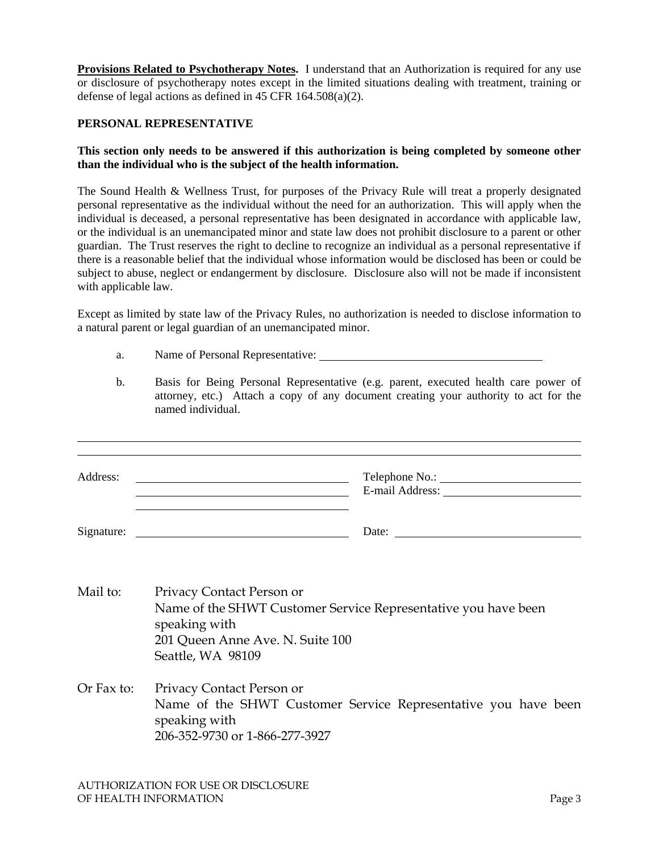**Provisions Related to Psychotherapy Notes.** I understand that an Authorization is required for any use or disclosure of psychotherapy notes except in the limited situations dealing with treatment, training or defense of legal actions as defined in 45 CFR 164.508(a)(2).

### **PERSONAL REPRESENTATIVE**

l

### **This section only needs to be answered if this authorization is being completed by someone other than the individual who is the subject of the health information.**

The Sound Health & Wellness Trust, for purposes of the Privacy Rule will treat a properly designated personal representative as the individual without the need for an authorization. This will apply when the individual is deceased, a personal representative has been designated in accordance with applicable law, or the individual is an unemancipated minor and state law does not prohibit disclosure to a parent or other guardian. The Trust reserves the right to decline to recognize an individual as a personal representative if there is a reasonable belief that the individual whose information would be disclosed has been or could be subject to abuse, neglect or endangerment by disclosure. Disclosure also will not be made if inconsistent with applicable law.

Except as limited by state law of the Privacy Rules, no authorization is needed to disclose information to a natural parent or legal guardian of an unemancipated minor.

- a. Name of Personal Representative:
- b. Basis for Being Personal Representative (e.g. parent, executed health care power of attorney, etc.) Attach a copy of any document creating your authority to act for the named individual.

| Address:   | <u> 1989 - Johann Barbara, marka a shekara tsa 1989 - An tsa 1989 - An tsa 1989 - An tsa 1989 - An tsa 1989 - An</u>                                                                                                                                                                                                                                                                                                                              |
|------------|---------------------------------------------------------------------------------------------------------------------------------------------------------------------------------------------------------------------------------------------------------------------------------------------------------------------------------------------------------------------------------------------------------------------------------------------------|
|            | Date: $\frac{1}{\sqrt{1-\frac{1}{2}} \cdot \frac{1}{2} \cdot \frac{1}{2} \cdot \frac{1}{2} \cdot \frac{1}{2} \cdot \frac{1}{2} \cdot \frac{1}{2} \cdot \frac{1}{2} \cdot \frac{1}{2} \cdot \frac{1}{2} \cdot \frac{1}{2} \cdot \frac{1}{2} \cdot \frac{1}{2} \cdot \frac{1}{2} \cdot \frac{1}{2} \cdot \frac{1}{2} \cdot \frac{1}{2} \cdot \frac{1}{2} \cdot \frac{1}{2} \cdot \frac{1}{2} \cdot \frac{1}{2} \cdot \frac{1}{2} \cdot \frac{1}{2}$ |
| Mail to:   | Privacy Contact Person or<br>Name of the SHWT Customer Service Representative you have been<br>speaking with<br>201 Queen Anne Ave. N. Suite 100<br>Seattle, WA 98109                                                                                                                                                                                                                                                                             |
| Or Fax to: | Privacy Contact Person or<br>Name of the SHWT Customer Service Representative you have been<br>speaking with                                                                                                                                                                                                                                                                                                                                      |

206-352-9730 or 1-866-277-3927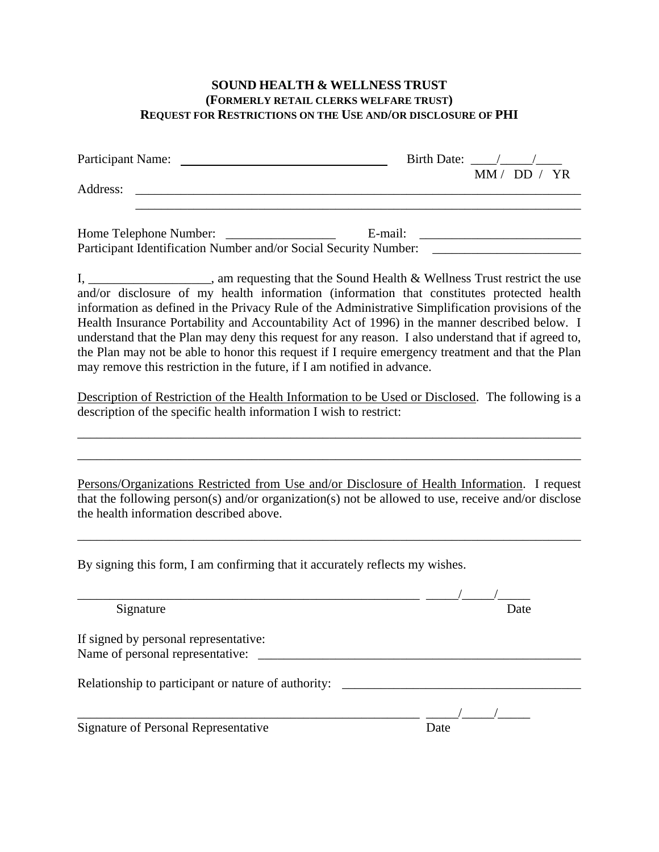# **SOUND HEALTH & WELLNESS TRUST (FORMERLY RETAIL CLERKS WELFARE TRUST) REQUEST FOR RESTRICTIONS ON THE USE AND/OR DISCLOSURE OF PHI**

| Participant Name:                                                                                                                             | Birth Date: $\frac{\sqrt{2}}{2}$                                                                                                                                                                                                                                                                                                                                                                                                                                                                                                                                                                                                                                                                                    |
|-----------------------------------------------------------------------------------------------------------------------------------------------|---------------------------------------------------------------------------------------------------------------------------------------------------------------------------------------------------------------------------------------------------------------------------------------------------------------------------------------------------------------------------------------------------------------------------------------------------------------------------------------------------------------------------------------------------------------------------------------------------------------------------------------------------------------------------------------------------------------------|
| Address:                                                                                                                                      | MM / DD / YR                                                                                                                                                                                                                                                                                                                                                                                                                                                                                                                                                                                                                                                                                                        |
| Home Telephone Number:                                                                                                                        | Participant Identification Number and/or Social Security Number: ________________                                                                                                                                                                                                                                                                                                                                                                                                                                                                                                                                                                                                                                   |
| may remove this restriction in the future, if I am notified in advance.<br>description of the specific health information I wish to restrict: | I, ______________________, am requesting that the Sound Health & Wellness Trust restrict the use<br>and/or disclosure of my health information (information that constitutes protected health<br>information as defined in the Privacy Rule of the Administrative Simplification provisions of the<br>Health Insurance Portability and Accountability Act of 1996) in the manner described below. I<br>understand that the Plan may deny this request for any reason. I also understand that if agreed to,<br>the Plan may not be able to honor this request if I require emergency treatment and that the Plan<br>Description of Restriction of the Health Information to be Used or Disclosed. The following is a |
| the health information described above.                                                                                                       | Persons/Organizations Restricted from Use and/or Disclosure of Health Information. I request<br>that the following person(s) and/or organization(s) not be allowed to use, receive and/or disclose                                                                                                                                                                                                                                                                                                                                                                                                                                                                                                                  |
| By signing this form, I am confirming that it accurately reflects my wishes.                                                                  |                                                                                                                                                                                                                                                                                                                                                                                                                                                                                                                                                                                                                                                                                                                     |
| Signature                                                                                                                                     | Date                                                                                                                                                                                                                                                                                                                                                                                                                                                                                                                                                                                                                                                                                                                |
| If signed by personal representative:<br>Name of personal representative:                                                                     |                                                                                                                                                                                                                                                                                                                                                                                                                                                                                                                                                                                                                                                                                                                     |
| Relationship to participant or nature of authority: _____________________________                                                             |                                                                                                                                                                                                                                                                                                                                                                                                                                                                                                                                                                                                                                                                                                                     |
| <b>Signature of Personal Representative</b>                                                                                                   | Date                                                                                                                                                                                                                                                                                                                                                                                                                                                                                                                                                                                                                                                                                                                |